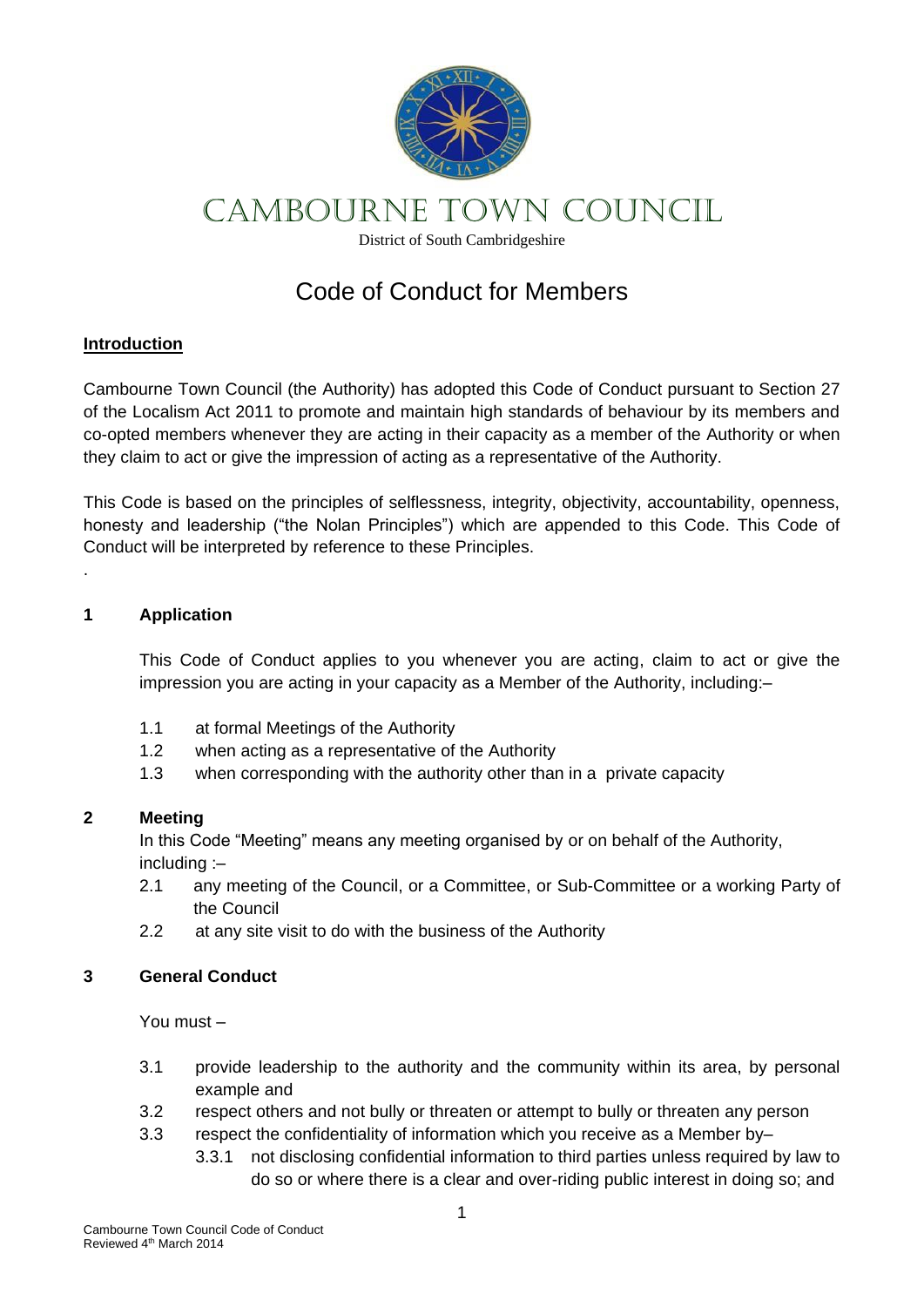

# CAMBOURNE TOWN COUNCIL

District of South Cambridgeshire

## Code of Conduct for Members

### **Introduction**

Cambourne Town Council (the Authority) has adopted this Code of Conduct pursuant to Section 27 of the Localism Act 2011 to promote and maintain high standards of behaviour by its members and co-opted members whenever they are acting in their capacity as a member of the Authority or when they claim to act or give the impression of acting as a representative of the Authority.

This Code is based on the principles of selflessness, integrity, objectivity, accountability, openness, honesty and leadership ("the Nolan Principles") which are appended to this Code. This Code of Conduct will be interpreted by reference to these Principles.

#### **1 Application**

.

This Code of Conduct applies to you whenever you are acting, claim to act or give the impression you are acting in your capacity as a Member of the Authority, including:–

- 1.1 at formal Meetings of the Authority
- 1.2 when acting as a representative of the Authority
- 1.3 when corresponding with the authority other than in a private capacity

#### **2 Meeting**

In this Code "Meeting" means any meeting organised by or on behalf of the Authority, including :–

- 2.1 any meeting of the Council, or a Committee, or Sub-Committee or a working Party of the Council
- 2.2 at any site visit to do with the business of the Authority

### **3 General Conduct**

You must –

- 3.1 provide leadership to the authority and the community within its area, by personal example and
- 3.2 respect others and not bully or threaten or attempt to bully or threaten any person
- 3.3 respect the confidentiality of information which you receive as a Member by–
	- 3.3.1 not disclosing confidential information to third parties unless required by law to do so or where there is a clear and over-riding public interest in doing so; and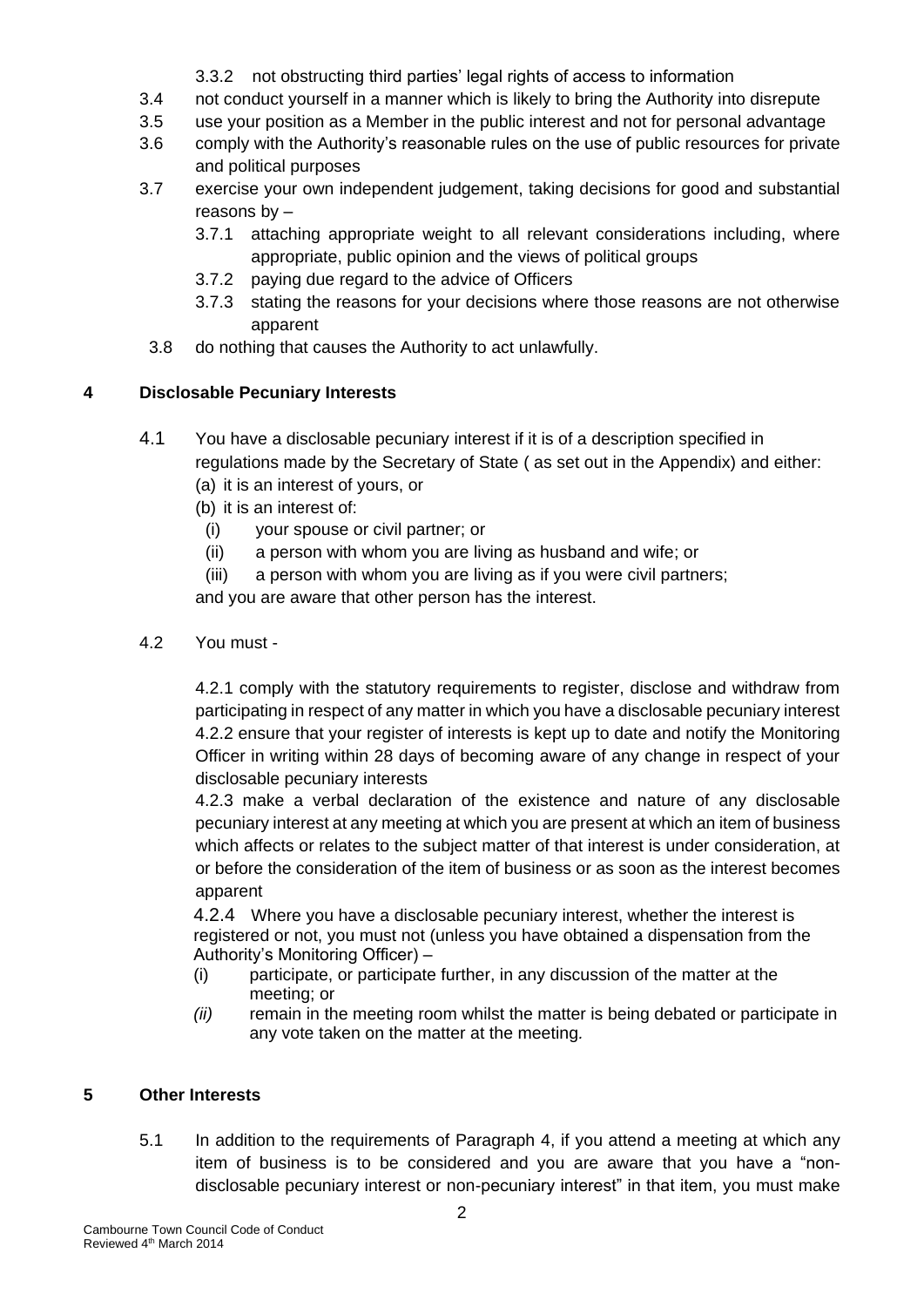- 3.3.2 not obstructing third parties' legal rights of access to information
- 3.4 not conduct yourself in a manner which is likely to bring the Authority into disrepute
- 3.5 use your position as a Member in the public interest and not for personal advantage
- 3.6 comply with the Authority's reasonable rules on the use of public resources for private and political purposes
- 3.7 exercise your own independent judgement, taking decisions for good and substantial reasons by –
	- 3.7.1 attaching appropriate weight to all relevant considerations including, where appropriate, public opinion and the views of political groups
	- 3.7.2 paying due regard to the advice of Officers
	- 3.7.3 stating the reasons for your decisions where those reasons are not otherwise apparent
- 3.8 do nothing that causes the Authority to act unlawfully.

## **4 Disclosable Pecuniary Interests**

- 4.1 You have a disclosable pecuniary interest if it is of a description specified in regulations made by the Secretary of State ( as set out in the Appendix) and either: (a) it is an interest of yours, or
	- (b) it is an interest of:
		- (i) your spouse or civil partner; or
		- (ii) a person with whom you are living as husband and wife; or
		- (iii) a person with whom you are living as if you were civil partners;

and you are aware that other person has the interest.

4.2 You must -

4.2.1 comply with the statutory requirements to register, disclose and withdraw from participating in respect of any matter in which you have a disclosable pecuniary interest 4.2.2 ensure that your register of interests is kept up to date and notify the Monitoring Officer in writing within 28 days of becoming aware of any change in respect of your disclosable pecuniary interests

4.2.3 make a verbal declaration of the existence and nature of any disclosable pecuniary interest at any meeting at which you are present at which an item of business which affects or relates to the subject matter of that interest is under consideration, at or before the consideration of the item of business or as soon as the interest becomes apparent

4.2.4 Where you have a disclosable pecuniary interest, whether the interest is registered or not, you must not (unless you have obtained a dispensation from the Authority's Monitoring Officer) –

- (i) participate, or participate further, in any discussion of the matter at the meeting; or
- *(ii)* remain in the meeting room whilst the matter is being debated or participate in any vote taken on the matter at the meeting*.*

## **5 Other Interests**

5.1 In addition to the requirements of Paragraph 4, if you attend a meeting at which any item of business is to be considered and you are aware that you have a "nondisclosable pecuniary interest or non-pecuniary interest" in that item, you must make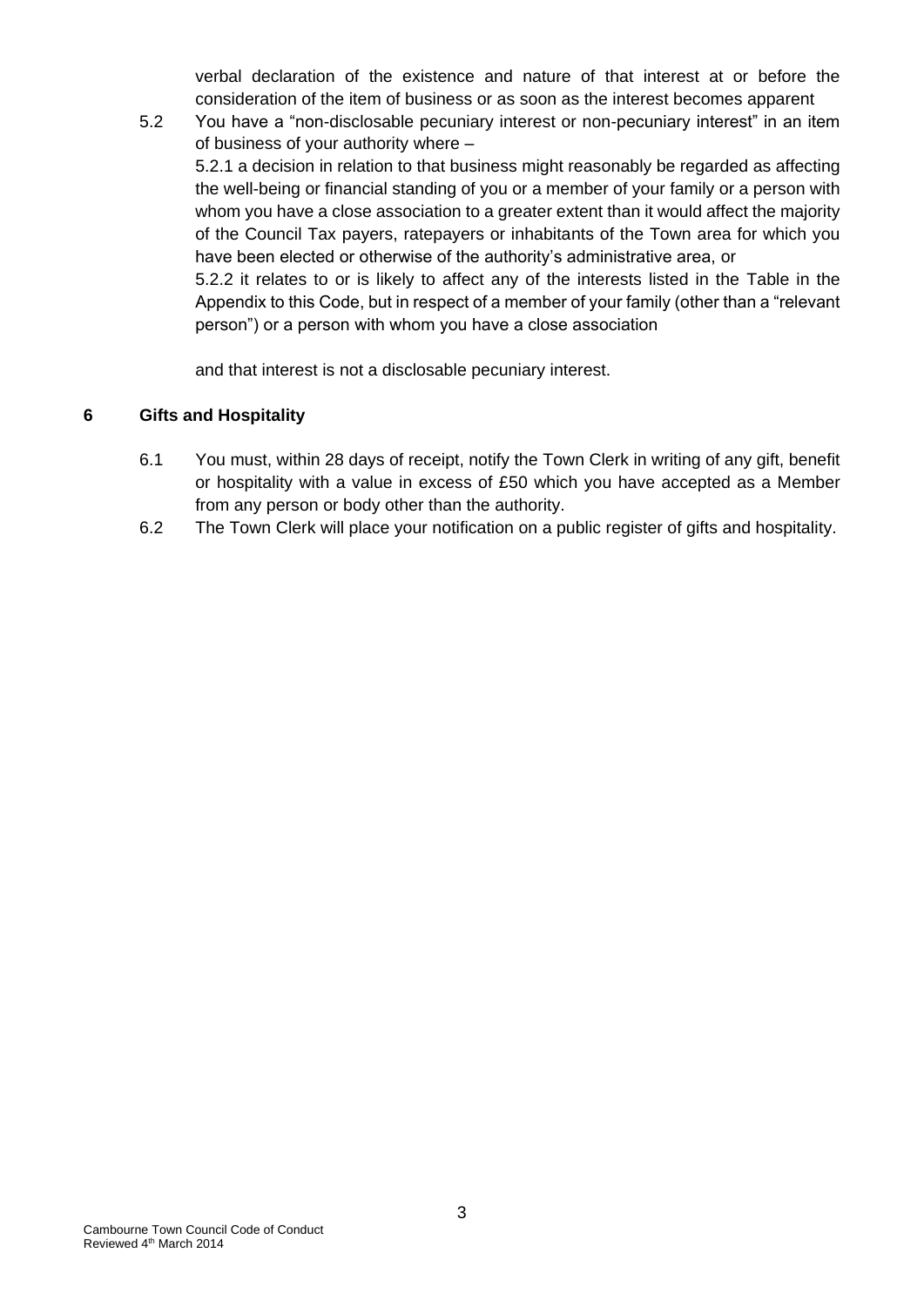verbal declaration of the existence and nature of that interest at or before the consideration of the item of business or as soon as the interest becomes apparent

5.2 You have a "non-disclosable pecuniary interest or non-pecuniary interest" in an item of business of your authority where – 5.2.1 a decision in relation to that business might reasonably be regarded as affecting the well-being or financial standing of you or a member of your family or a person with whom you have a close association to a greater extent than it would affect the majority of the Council Tax payers, ratepayers or inhabitants of the Town area for which you have been elected or otherwise of the authority's administrative area, or 5.2.2 it relates to or is likely to affect any of the interests listed in the Table in the Appendix to this Code, but in respect of a member of your family (other than a "relevant person") or a person with whom you have a close association

and that interest is not a disclosable pecuniary interest.

#### **6 Gifts and Hospitality**

- 6.1 You must, within 28 days of receipt, notify the Town Clerk in writing of any gift, benefit or hospitality with a value in excess of £50 which you have accepted as a Member from any person or body other than the authority.
- 6.2 The Town Clerk will place your notification on a public register of gifts and hospitality.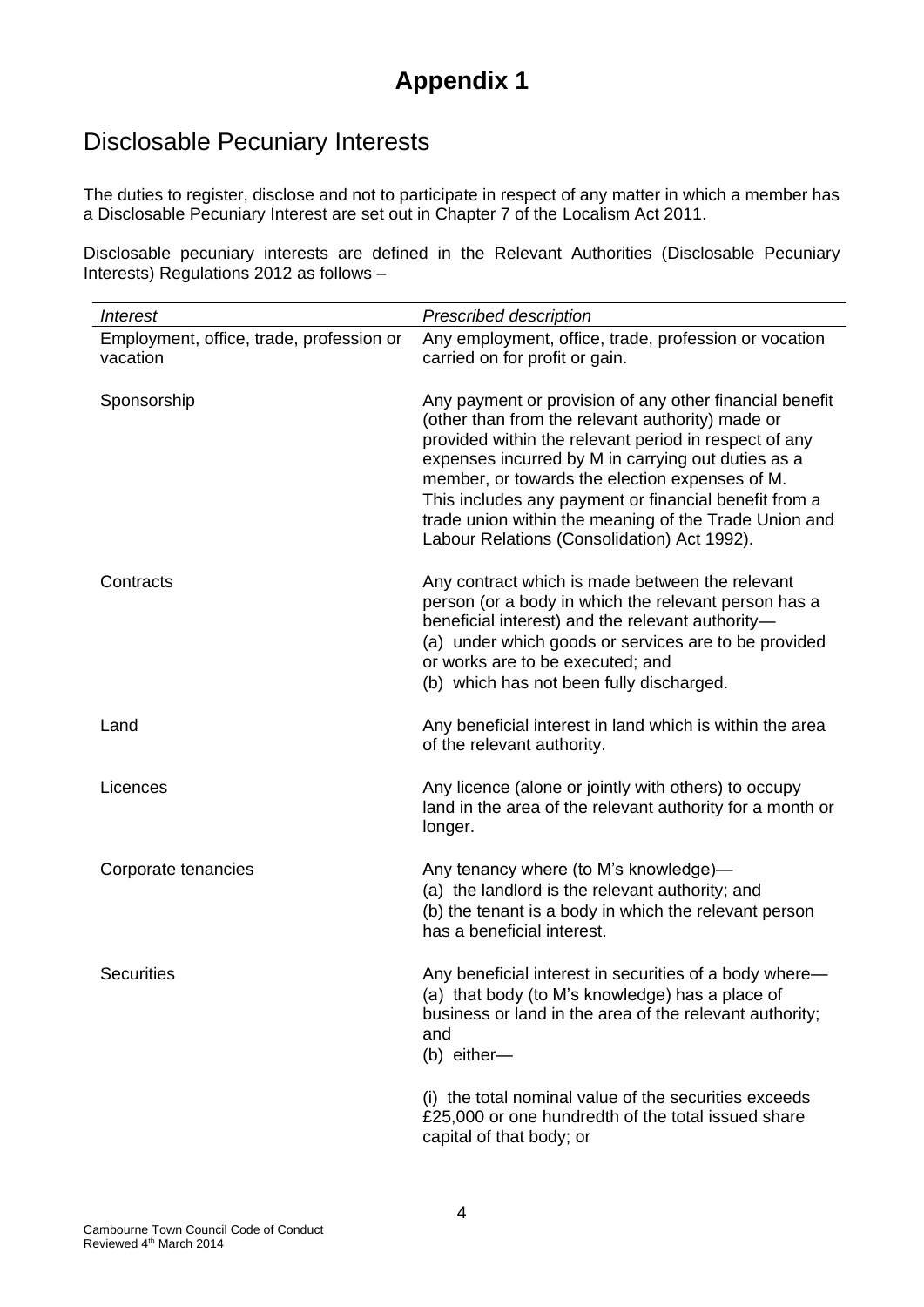## **Appendix 1**

## Disclosable Pecuniary Interests

The duties to register, disclose and not to participate in respect of any matter in which a member has a Disclosable Pecuniary Interest are set out in Chapter 7 of the Localism Act 2011.

Disclosable pecuniary interests are defined in the Relevant Authorities (Disclosable Pecuniary Interests) Regulations 2012 as follows –

| Interest                                             | Prescribed description                                                                                                                                                                                                                                                                                                                                                                                                                        |
|------------------------------------------------------|-----------------------------------------------------------------------------------------------------------------------------------------------------------------------------------------------------------------------------------------------------------------------------------------------------------------------------------------------------------------------------------------------------------------------------------------------|
| Employment, office, trade, profession or<br>vacation | Any employment, office, trade, profession or vocation<br>carried on for profit or gain.                                                                                                                                                                                                                                                                                                                                                       |
| Sponsorship                                          | Any payment or provision of any other financial benefit<br>(other than from the relevant authority) made or<br>provided within the relevant period in respect of any<br>expenses incurred by M in carrying out duties as a<br>member, or towards the election expenses of M.<br>This includes any payment or financial benefit from a<br>trade union within the meaning of the Trade Union and<br>Labour Relations (Consolidation) Act 1992). |
| Contracts                                            | Any contract which is made between the relevant<br>person (or a body in which the relevant person has a<br>beneficial interest) and the relevant authority-<br>(a) under which goods or services are to be provided<br>or works are to be executed; and<br>(b) which has not been fully discharged.                                                                                                                                           |
| Land                                                 | Any beneficial interest in land which is within the area<br>of the relevant authority.                                                                                                                                                                                                                                                                                                                                                        |
| Licences                                             | Any licence (alone or jointly with others) to occupy<br>land in the area of the relevant authority for a month or<br>longer.                                                                                                                                                                                                                                                                                                                  |
| Corporate tenancies                                  | Any tenancy where (to M's knowledge)-<br>(a) the landlord is the relevant authority; and<br>(b) the tenant is a body in which the relevant person<br>has a beneficial interest.                                                                                                                                                                                                                                                               |
| <b>Securities</b>                                    | Any beneficial interest in securities of a body where-<br>(a) that body (to M's knowledge) has a place of<br>business or land in the area of the relevant authority;<br>and<br>(b) either-                                                                                                                                                                                                                                                    |
|                                                      | (i) the total nominal value of the securities exceeds<br>£25,000 or one hundredth of the total issued share<br>capital of that body; or                                                                                                                                                                                                                                                                                                       |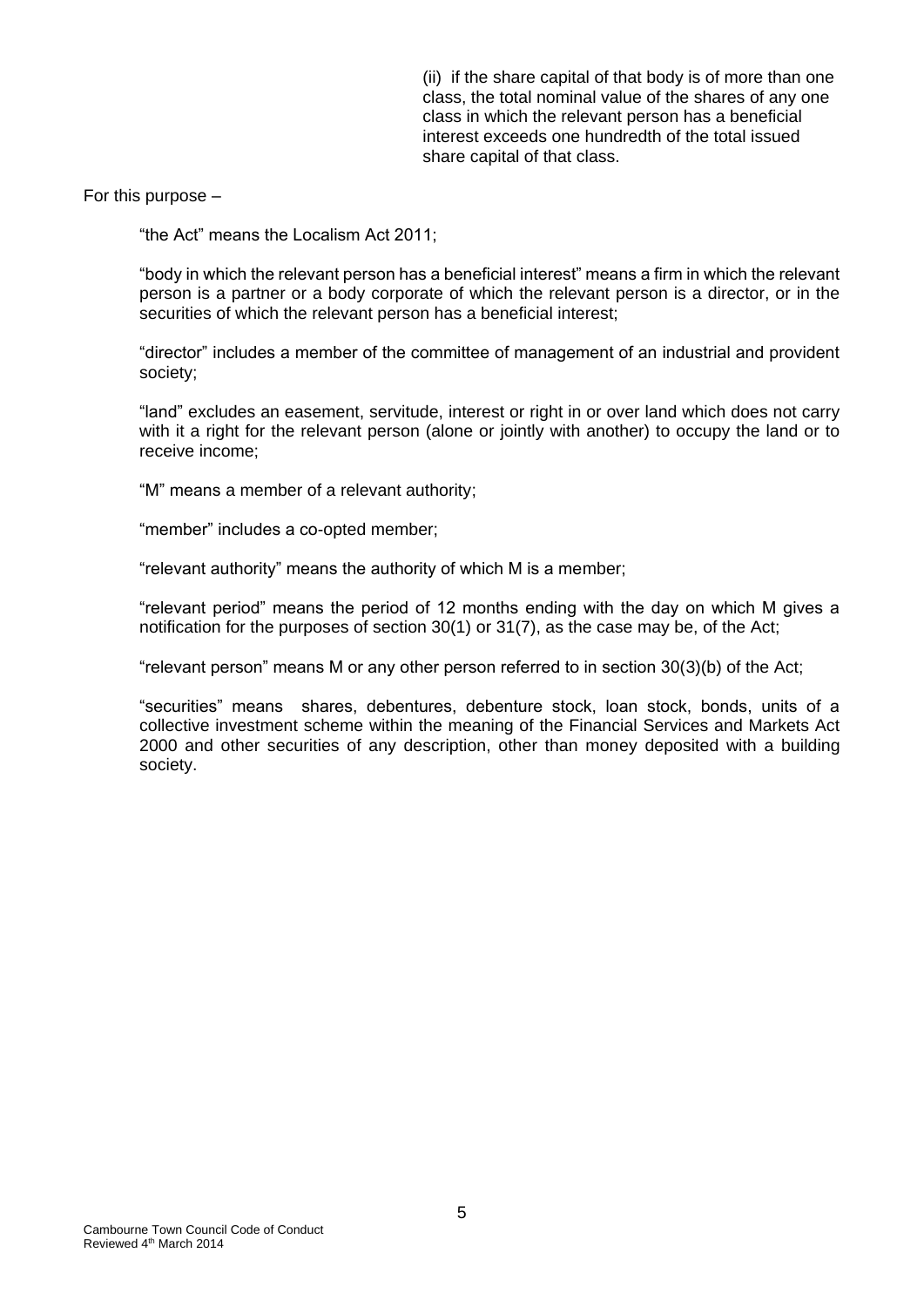(ii) if the share capital of that body is of more than one class, the total nominal value of the shares of any one class in which the relevant person has a beneficial interest exceeds one hundredth of the total issued share capital of that class.

For this purpose –

"the Act" means the Localism Act 2011;

"body in which the relevant person has a beneficial interest" means a firm in which the relevant person is a partner or a body corporate of which the relevant person is a director, or in the securities of which the relevant person has a beneficial interest;

"director" includes a member of the committee of management of an industrial and provident society;

"land" excludes an easement, servitude, interest or right in or over land which does not carry with it a right for the relevant person (alone or jointly with another) to occupy the land or to receive income;

"M" means a member of a relevant authority;

"member" includes a co-opted member;

"relevant authority" means the authority of which M is a member;

"relevant period" means the period of 12 months ending with the day on which M gives a notification for the purposes of section 30(1) or 31(7), as the case may be, of the Act;

"relevant person" means M or any other person referred to in section 30(3)(b) of the Act;

"securities" means shares, debentures, debenture stock, loan stock, bonds, units of a collective investment scheme within the meaning of the Financial Services and Markets Act 2000 and other securities of any description, other than money deposited with a building society.